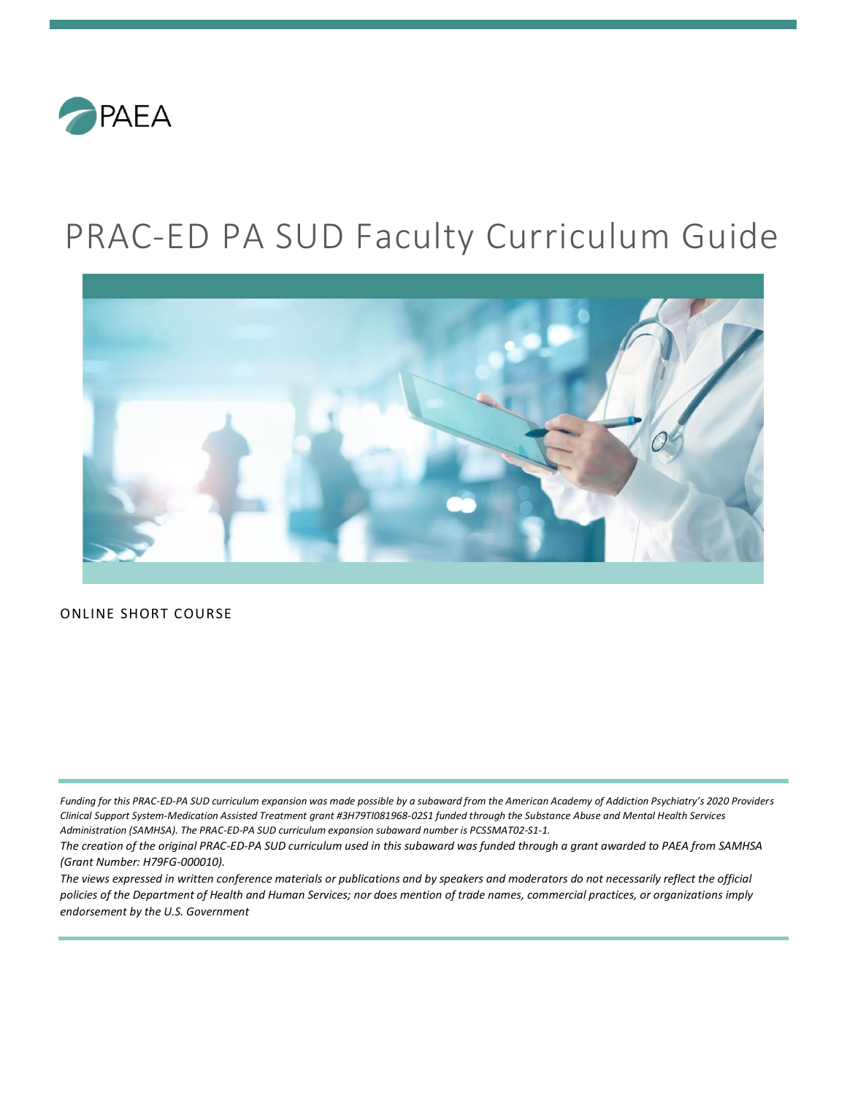

# PRAC-ED PA SUD Faculty Curriculum Guide



ONLINE SHORT COURSE

*Funding for this PRAC-ED-PA SUD curriculum expansion was made possible by a subaward from the American Academy of Addiction Psychiatry's 2020 Providers Clinical Support System-Medication Assisted Treatment grant #3H79TI081968-02S1 funded through the Substance Abuse and Mental Health Services Administration (SAMHSA). The PRAC-ED-PA SUD curriculum expansion subaward number is PCSSMAT02-S1-1.* 

*The creation of the original PRAC-ED-PA SUD curriculum used in this subaward was funded through a grant awarded to PAEA from SAMHSA (Grant Number: H79FG-000010).* 

*The views expressed in written conference materials or publications and by speakers and moderators do not necessarily reflect the official policies of the Department of Health and Human Services; nor does mention of trade names, commercial practices, or organizations imply endorsement by the U.S. Government*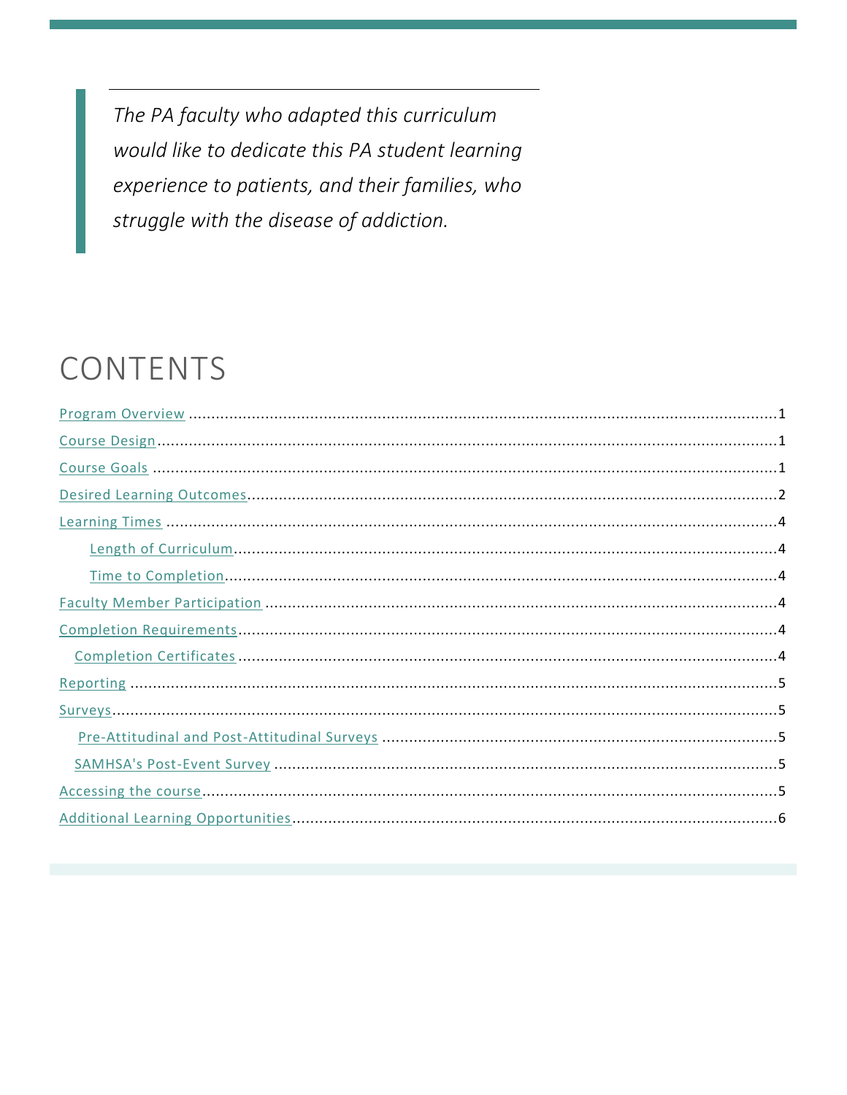The PA faculty who adapted this curriculum would like to dedicate this PA student learning experience to patients, and their families, who struggle with the disease of addiction.

# CONTENTS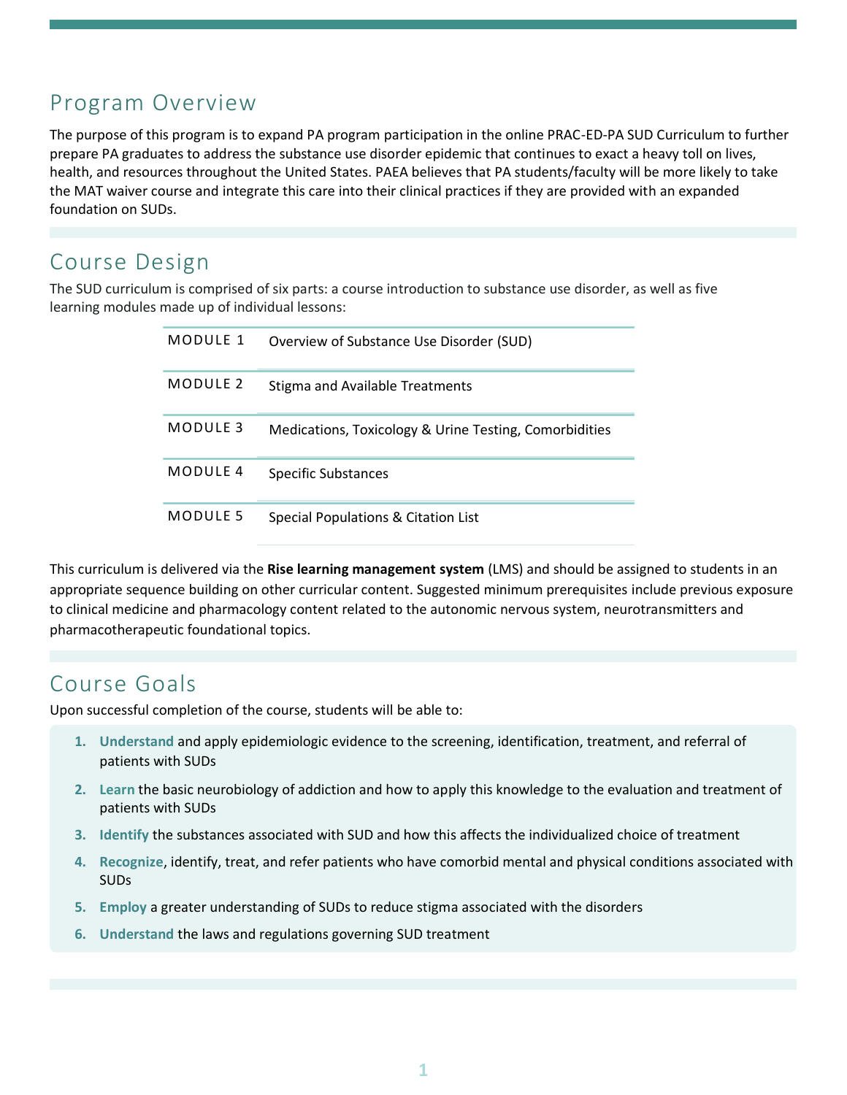### Program Overview

The purpose of this program is to expand PA program participation in the online PRAC-ED-PA SUD Curriculum to further prepare PA graduates to address the substance use disorder epidemic that continues to exact a heavy toll on lives, health, and resources throughout the United States. PAEA believes that PA students/faculty will be more likely to take the MAT waiver course and integrate this care into their clinical practices if they are provided with an expanded foundation on SUDs.

## Course Design

The SUD curriculum is comprised of six parts: a course introduction to substance use disorder, as well as five learning modules made up of individual lessons:

| MODULE 1 | Overview of Substance Use Disorder (SUD)               |
|----------|--------------------------------------------------------|
| MODULE 2 | Stigma and Available Treatments                        |
| MODULE 3 | Medications, Toxicology & Urine Testing, Comorbidities |
| MODULE 4 | <b>Specific Substances</b>                             |
| MODULE 5 | Special Populations & Citation List                    |

This curriculum is delivered via the **Rise learning management system** (LMS) and should be assigned to students in an appropriate sequence building on other curricular content. Suggested minimum prerequisites include previous exposure to clinical medicine and pharmacology content related to the autonomic nervous system, neurotransmitters and pharmacotherapeutic foundational topics.

#### Course Goals

Upon successful completion of the course, students will be able to:

- **1. Understand** and apply epidemiologic evidence to the screening, identification, treatment, and referral of patients with SUDs
- **2. Learn** the basic neurobiology of addiction and how to apply this knowledge to the evaluation and treatment of patients with SUDs
- **3. Identify** the substances associated with SUD and how this affects the individualized choice of treatment
- **4. Recognize**, identify, treat, and refer patients who have comorbid mental and physical conditions associated with SUDs
- **5. Employ** a greater understanding of SUDs to reduce stigma associated with the disorders
- **6. Understand** the laws and regulations governing SUD treatment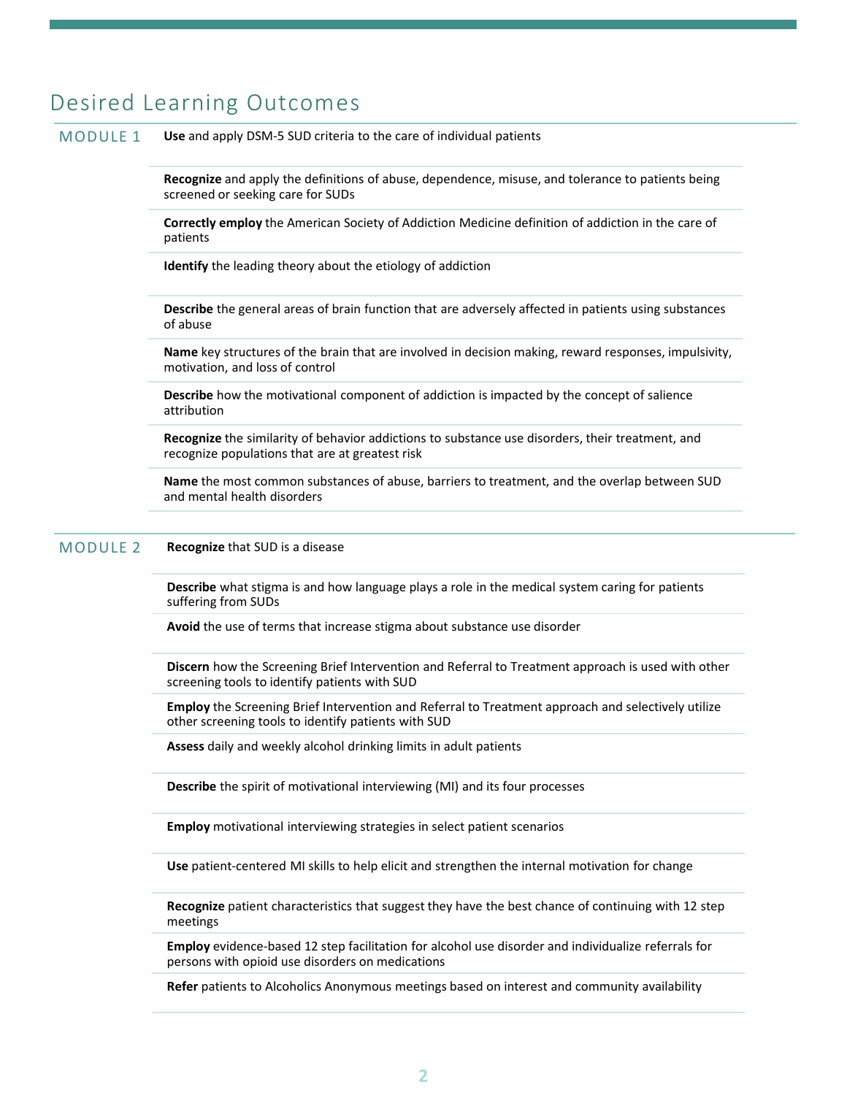## Desired Learning Outcomes

| <b>MODULE 1</b> | Use and apply DSM-5 SUD criteria to the care of individual patients |
|-----------------|---------------------------------------------------------------------|
|-----------------|---------------------------------------------------------------------|

**Recognize** and apply the definitions of abuse, dependence, misuse, and tolerance to patients being screened or seeking care for SUDs

**Correctly employ** the American Society of Addiction Medicine definition of addiction in the care of patients

**Identify** the leading theory about the etiology of addiction

**Describe** the general areas of brain function that are adversely affected in patients using substances of abuse

**Name** key structures of the brain that are involved in decision making, reward responses, impulsivity, motivation, and loss of control

**Describe** how the motivational component of addiction is impacted by the concept of salience attribution

**Recognize** the similarity of behavior addictions to substance use disorders, their treatment, and recognize populations that are at greatest risk

**Name** the most common substances of abuse, barriers to treatment, and the overlap between SUD and mental health disorders

MODULE 2 **Recognize** that SUD is a disease

**Describe** what stigma is and how language plays a role in the medical system caring for patients suffering from SUDs

**Avoid** the use of terms that increase stigma about substance use disorder

**Discern** how the Screening Brief Intervention and Referral to Treatment approach is used with other screening tools to identify patients with SUD

**Employ** the Screening Brief Intervention and Referral to Treatment approach and selectively utilize other screening tools to identify patients with SUD

**Assess** daily and weekly alcohol drinking limits in adult patients

**Describe** the spirit of motivational interviewing (MI) and its four processes

**Employ** motivational interviewing strategies in select patient scenarios

**Use** patient-centered MI skills to help elicit and strengthen the internal motivation for change

**Recognize** patient characteristics that suggest they have the best chance of continuing with 12 step meetings

**Employ** evidence-based 12 step facilitation for alcohol use disorder and individualize referrals for persons with opioid use disorders on medications

**Refer** patients to Alcoholics Anonymous meetings based on interest and community availability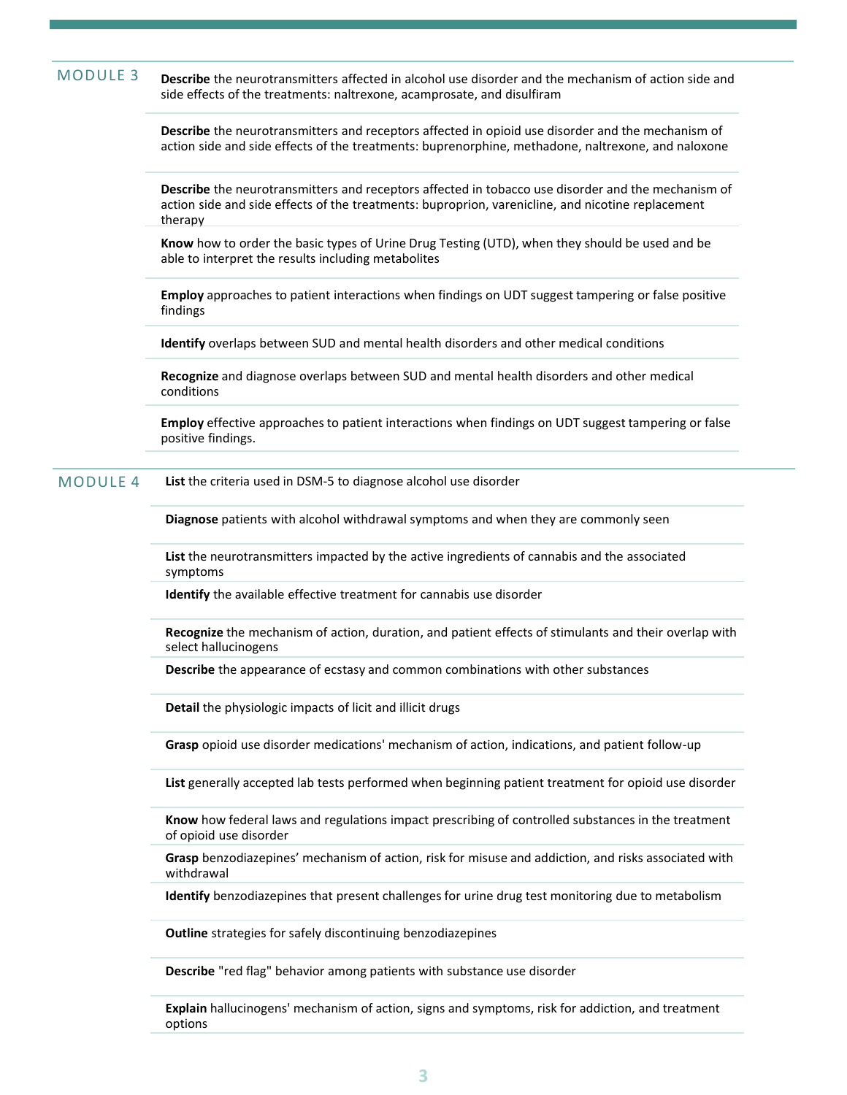| <b>MODULE 3</b> | Describe the neurotransmitters affected in alcohol use disorder and the mechanism of action side and<br>side effects of the treatments: naltrexone, acamprosate, and disulfiram                                    |
|-----------------|--------------------------------------------------------------------------------------------------------------------------------------------------------------------------------------------------------------------|
|                 | Describe the neurotransmitters and receptors affected in opioid use disorder and the mechanism of<br>action side and side effects of the treatments: buprenorphine, methadone, naltrexone, and naloxone            |
|                 | Describe the neurotransmitters and receptors affected in tobacco use disorder and the mechanism of<br>action side and side effects of the treatments: buproprion, varenicline, and nicotine replacement<br>therapy |
|                 | Know how to order the basic types of Urine Drug Testing (UTD), when they should be used and be<br>able to interpret the results including metabolites                                                              |
|                 | Employ approaches to patient interactions when findings on UDT suggest tampering or false positive<br>findings                                                                                                     |
|                 | Identify overlaps between SUD and mental health disorders and other medical conditions                                                                                                                             |
|                 | Recognize and diagnose overlaps between SUD and mental health disorders and other medical<br>conditions                                                                                                            |
|                 | Employ effective approaches to patient interactions when findings on UDT suggest tampering or false<br>positive findings.                                                                                          |
| <b>MODULE 4</b> | List the criteria used in DSM-5 to diagnose alcohol use disorder                                                                                                                                                   |
|                 | Diagnose patients with alcohol withdrawal symptoms and when they are commonly seen                                                                                                                                 |
|                 | List the neurotransmitters impacted by the active ingredients of cannabis and the associated<br>symptoms                                                                                                           |
|                 | Identify the available effective treatment for cannabis use disorder                                                                                                                                               |
|                 | Recognize the mechanism of action, duration, and patient effects of stimulants and their overlap with<br>select hallucinogens                                                                                      |
|                 | Describe the appearance of ecstasy and common combinations with other substances                                                                                                                                   |
|                 | Detail the physiologic impacts of licit and illicit drugs                                                                                                                                                          |
|                 | Grasp opioid use disorder medications' mechanism of action, indications, and patient follow-up                                                                                                                     |
|                 | List generally accepted lab tests performed when beginning patient treatment for opioid use disorder                                                                                                               |
|                 | Know how federal laws and regulations impact prescribing of controlled substances in the treatment<br>of opioid use disorder                                                                                       |
|                 | Grasp benzodiazepines' mechanism of action, risk for misuse and addiction, and risks associated with<br>withdrawal                                                                                                 |
|                 | Identify benzodiazepines that present challenges for urine drug test monitoring due to metabolism                                                                                                                  |
|                 | Outline strategies for safely discontinuing benzodiazepines                                                                                                                                                        |
|                 | Describe "red flag" behavior among patients with substance use disorder                                                                                                                                            |
|                 | Explain hallucinogens' mechanism of action, signs and symptoms, risk for addiction, and treatment                                                                                                                  |

options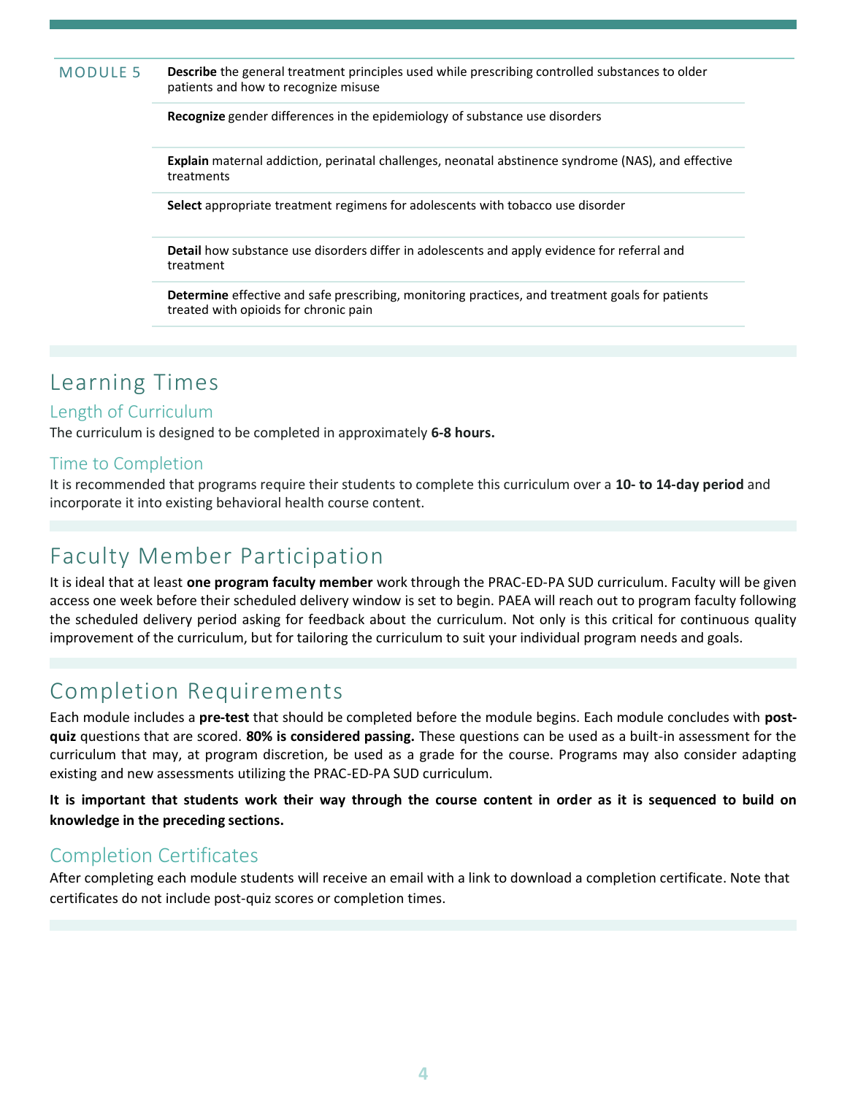#### MODULE 5 **Describe** the general treatment principles used while prescribing controlled substances to older patients and how to recognize misuse

**Recognize** gender differences in the epidemiology of substance use disorders

**Explain** maternal addiction, perinatal challenges, neonatal abstinence syndrome (NAS), and effective treatments

**Select** appropriate treatment regimens for adolescents with tobacco use disorder

**Detail** how substance use disorders differ in adolescents and apply evidence for referral and treatment

**Determine** effective and safe prescribing, monitoring practices, and treatment goals for patients treated with opioids for chronic pain

#### Learning Times

#### Length of Curriculum

The curriculum is designed to be completed in approximately **6-8 hours.** 

#### Time to Completion

It is recommended that programs require their students to complete this curriculum over a **10- to 14-day period** and incorporate it into existing behavioral health course content.

#### Faculty Member Participation

It is ideal that at least **one program faculty member** work through the PRAC-ED-PA SUD curriculum. Faculty will be given access one week before their scheduled delivery window is set to begin. PAEA will reach out to program faculty following the scheduled delivery period asking for feedback about the curriculum. Not only is this critical for continuous quality improvement of the curriculum, but for tailoring the curriculum to suit your individual program needs and goals.

#### Completion Requirements

Each module includes a **pre-test** that should be completed before the module begins. Each module concludes with **postquiz** questions that are scored. **80% is considered passing.** These questions can be used as a built-in assessment for the curriculum that may, at program discretion, be used as a grade for the course. Programs may also consider adapting existing and new assessments utilizing the PRAC-ED-PA SUD curriculum.

**It is important that students work their way through the course content in order as it is sequenced to build on knowledge in the preceding sections.** 

#### Completion Certificates

After completing each module students will receive an email with a link to download a completion certificate. Note that certificates do not include post-quiz scores or completion times.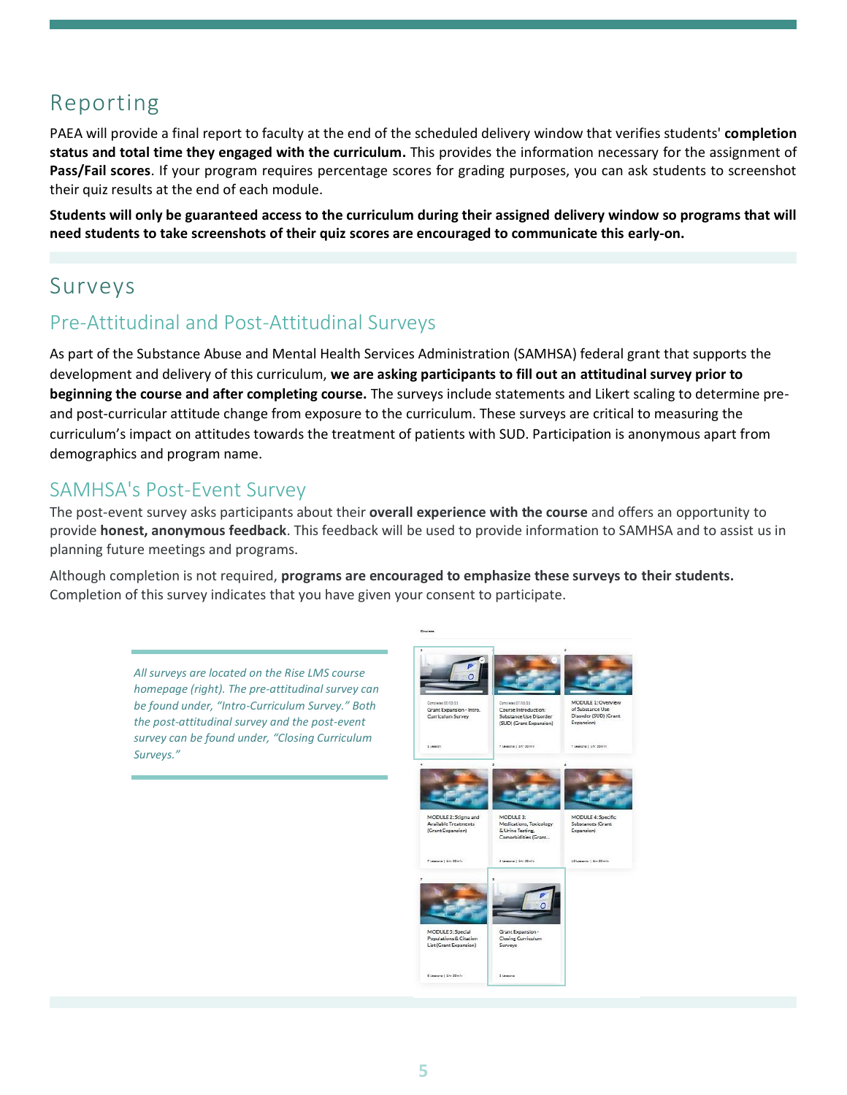## Reporting

PAEA will provide a final report to faculty at the end of the scheduled delivery window that verifies students' **completion status and total time they engaged with the curriculum.** This provides the information necessary for the assignment of **Pass/Fail scores**. If your program requires percentage scores for grading purposes, you can ask students to screenshot their quiz results at the end of each module.

**Students will only be guaranteed access to the curriculum during their assigned delivery window so programs that will need students to take screenshots of their quiz scores are encouraged to communicate this early-on.** 

### Surveys

#### Pre-Attitudinal and Post-Attitudinal Surveys

As part of the Substance Abuse and Mental Health Services Administration (SAMHSA) federal grant that supports the development and delivery of this curriculum, **we are asking participants to fill out an attitudinal survey prior to beginning the course and after completing course.** The surveys include statements and Likert scaling to determine preand post-curricular attitude change from exposure to the curriculum. These surveys are critical to measuring the curriculum's impact on attitudes towards the treatment of patients with SUD. Participation is anonymous apart from demographics and program name.

#### SAMHSA's Post-Event Survey

The post-event survey asks participants about their **overall experience with the course** and offers an opportunity to provide **honest, anonymous feedback**. This feedback will be used to provide information to SAMHSA and to assist us in planning future meetings and programs.

Although completion is not required, **programs are encouraged to emphasize these surveys to their students.** Completion of this survey indicates that you have given your consent to participate.

> *All surveys are located on the Rise LMS course homepage (right). The pre-attitudinal survey can be found under, "Intro-Curriculum Survey." Both the post-attitudinal survey and the post-event survey can be found under, "Closing Curriculum Surveys."*